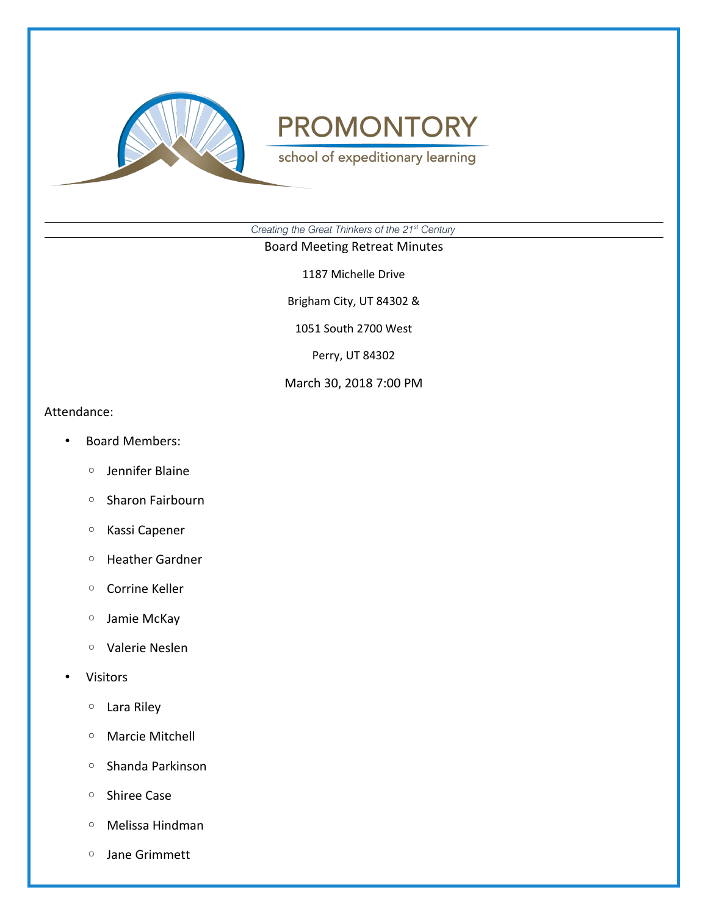

school of expeditionary learning

*Creating the Great Thinkers of the 21st Century*

#### Board Meeting Retreat Minutes

1187 Michelle Drive

Brigham City, UT 84302 &

1051 South 2700 West

Perry, UT 84302

#### March 30, 2018 7:00 PM

Attendance:

- Board Members:
	- Jennifer Blaine
	- Sharon Fairbourn
	- Kassi Capener
	- Heather Gardner
	- Corrine Keller
	- Jamie McKay
	- Valerie Neslen
- Visitors
	- Lara Riley
	- Marcie Mitchell
	- Shanda Parkinson
	- Shiree Case
	- Melissa Hindman
	- Jane Grimmett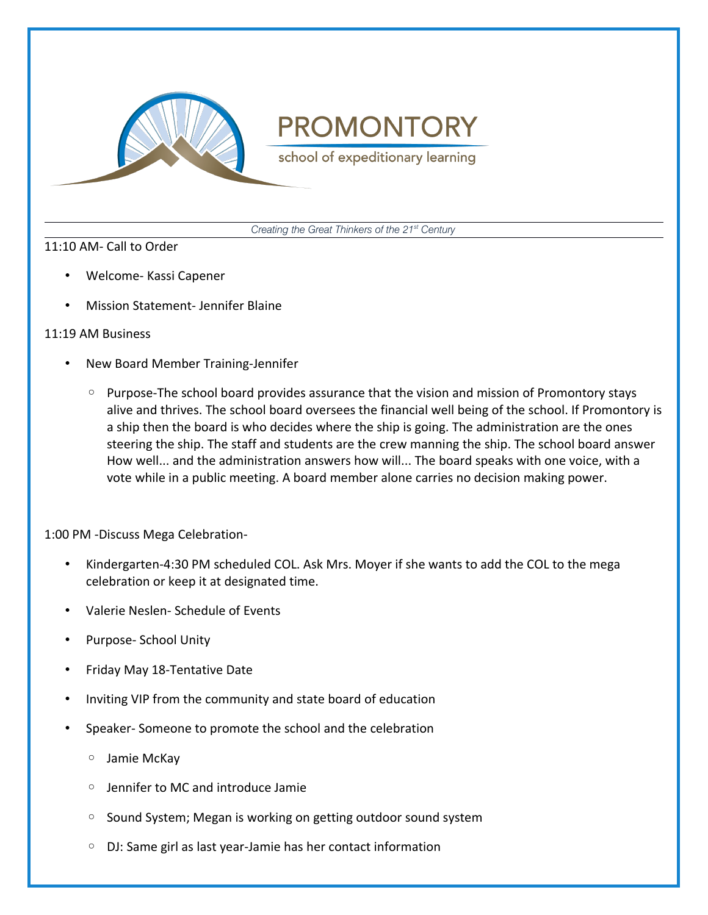

school of expeditionary learning

*Creating the Great Thinkers of the 21st Century*

### 11:10 AM- Call to Order

- Welcome- Kassi Capener
- Mission Statement- Jennifer Blaine

### 11:19 AM Business

- New Board Member Training-Jennifer
	- Purpose-The school board provides assurance that the vision and mission of Promontory stays alive and thrives. The school board oversees the financial well being of the school. If Promontory is a ship then the board is who decides where the ship is going. The administration are the ones steering the ship. The staff and students are the crew manning the ship. The school board answer How well... and the administration answers how will... The board speaks with one voice, with a vote while in a public meeting. A board member alone carries no decision making power.

1:00 PM -Discuss Mega Celebration-

- Kindergarten-4:30 PM scheduled COL. Ask Mrs. Moyer if she wants to add the COL to the mega celebration or keep it at designated time.
- Valerie Neslen- Schedule of Events
- Purpose- School Unity
- Friday May 18-Tentative Date
- Inviting VIP from the community and state board of education
- Speaker- Someone to promote the school and the celebration
	- Jamie McKay
	- Jennifer to MC and introduce Jamie
	- Sound System; Megan is working on getting outdoor sound system
	- DJ: Same girl as last year-Jamie has her contact information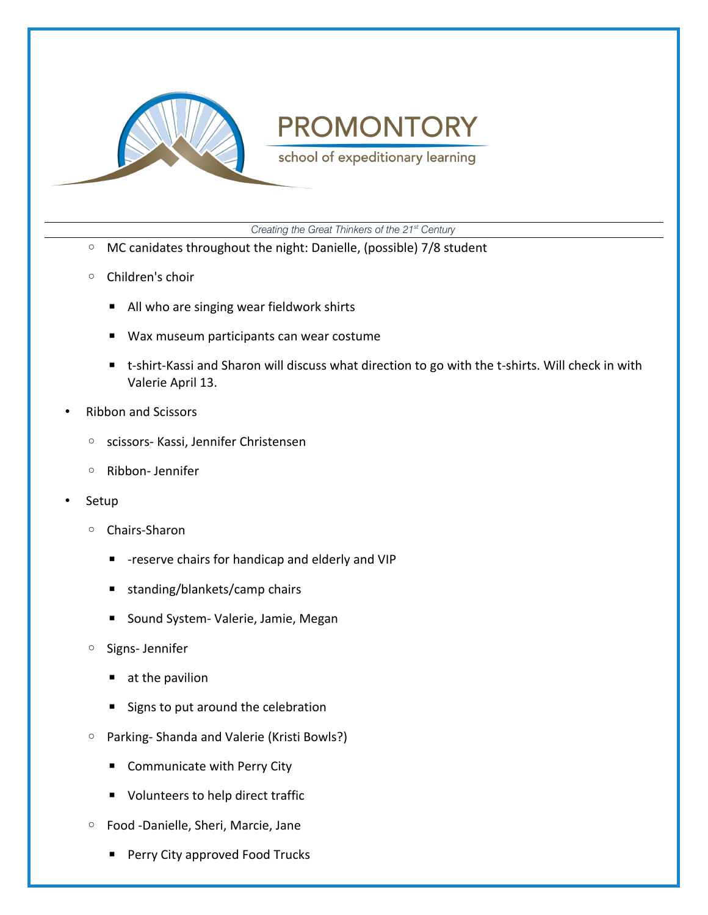

school of expeditionary learning

*Creating the Great Thinkers of the 21st Century*

- MC canidates throughout the night: Danielle, (possible) 7/8 student
- Children's choir
	- All who are singing wear fieldwork shirts
	- Wax museum participants can wear costume
	- $\blacksquare$  t-shirt-Kassi and Sharon will discuss what direction to go with the t-shirts. Will check in with Valerie April 13.
- Ribbon and Scissors
	- scissors- Kassi, Jennifer Christensen
	- Ribbon- Jennifer
- Setup
	- Chairs-Sharon
		- -reserve chairs for handicap and elderly and VIP
		- standing/blankets/camp chairs
		- Sound System- Valerie, Jamie, Megan
	- Signs- Jennifer
		- $\blacksquare$  at the pavilion
		- Signs to put around the celebration
	- Parking- Shanda and Valerie (Kristi Bowls?)
		- Communicate with Perry City
		- Volunteers to help direct traffic
	- Food -Danielle, Sheri, Marcie, Jane
		- Perry City approved Food Trucks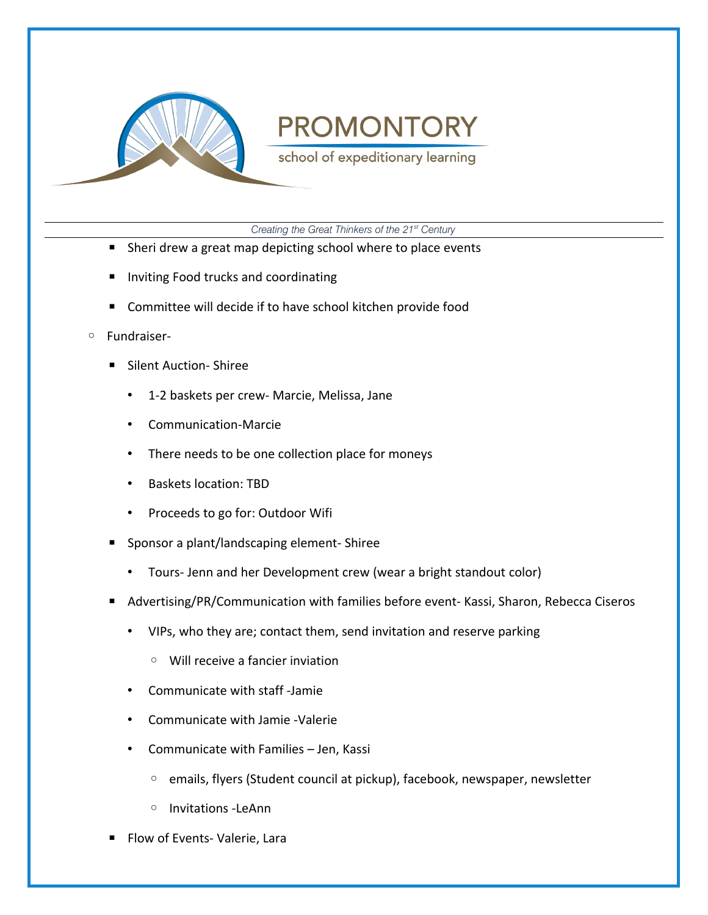

school of expeditionary learning

*Creating the Great Thinkers of the 21st Century*

- Sheri drew a great map depicting school where to place events
- Inviting Food trucks and coordinating
- Committee will decide if to have school kitchen provide food
- Fundraiser-
	- Silent Auction- Shiree
		- 1-2 baskets per crew- Marcie, Melissa, Jane
		- Communication-Marcie
		- There needs to be one collection place for moneys
		- Baskets location: TBD
		- Proceeds to go for: Outdoor Wifi
	- Sponsor a plant/landscaping element- Shiree
		- Tours- Jenn and her Development crew (wear a bright standout color)
	- Advertising/PR/Communication with families before event- Kassi, Sharon, Rebecca Ciseros
		- VIPs, who they are; contact them, send invitation and reserve parking
			- Will receive a fancier inviation
		- Communicate with staff -Jamie
		- Communicate with Jamie -Valerie
		- Communicate with Families Jen, Kassi
			- emails, flyers (Student council at pickup), facebook, newspaper, newsletter
			- Invitations -LeAnn
	- Flow of Events- Valerie, Lara